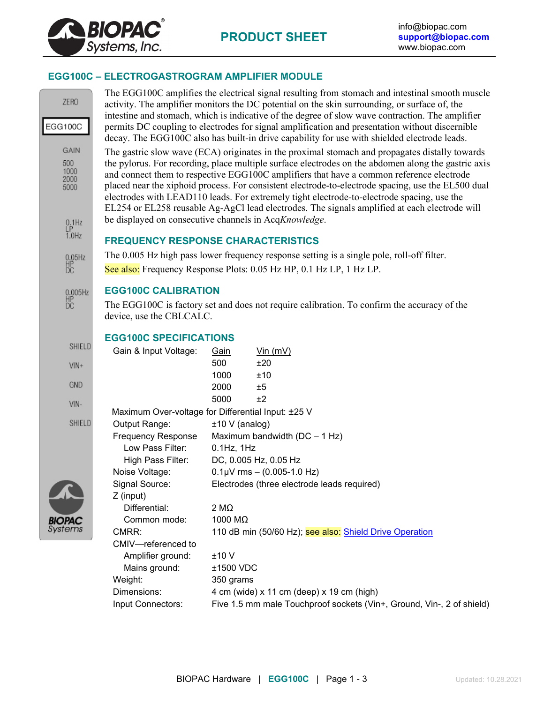

## **EGG100C – ELECTROGASTROGRAM AMPLIFIER MODULE**

| <b>ZERO</b><br>EGG100C                     |                                                                                                                                                                                                                                                                                                                                                                                                                                                                                                                                                                                                        |                                                         | The EGG100C amplifies the electrical signal resulting from stomach and intestinal smooth muscle<br>activity. The amplifier monitors the DC potential on the skin surrounding, or surface of, the<br>intestine and stomach, which is indicative of the degree of slow wave contraction. The amplifier |  |
|--------------------------------------------|--------------------------------------------------------------------------------------------------------------------------------------------------------------------------------------------------------------------------------------------------------------------------------------------------------------------------------------------------------------------------------------------------------------------------------------------------------------------------------------------------------------------------------------------------------------------------------------------------------|---------------------------------------------------------|------------------------------------------------------------------------------------------------------------------------------------------------------------------------------------------------------------------------------------------------------------------------------------------------------|--|
|                                            | permits DC coupling to electrodes for signal amplification and presentation without discernible<br>decay. The EGG100C also has built-in drive capability for use with shielded electrode leads.                                                                                                                                                                                                                                                                                                                                                                                                        |                                                         |                                                                                                                                                                                                                                                                                                      |  |
| <b>GAIN</b><br>500<br>1000<br>2000<br>5000 | The gastric slow wave (ECA) originates in the proximal stomach and propagates distally towards<br>the pylorus. For recording, place multiple surface electrodes on the abdomen along the gastric axis<br>and connect them to respective EGG100C amplifiers that have a common reference electrode<br>placed near the xiphoid process. For consistent electrode-to-electrode spacing, use the EL500 dual<br>electrodes with LEAD110 leads. For extremely tight electrode-to-electrode spacing, use the<br>EL254 or EL258 reusable Ag-AgCl lead electrodes. The signals amplified at each electrode will |                                                         |                                                                                                                                                                                                                                                                                                      |  |
| $_{LP}^{0.1Hz}$                            | be displayed on consecutive channels in AcqKnowledge.                                                                                                                                                                                                                                                                                                                                                                                                                                                                                                                                                  |                                                         |                                                                                                                                                                                                                                                                                                      |  |
| $1.0$ Hz                                   | <b>FREQUENCY RESPONSE CHARACTERISTICS</b>                                                                                                                                                                                                                                                                                                                                                                                                                                                                                                                                                              |                                                         |                                                                                                                                                                                                                                                                                                      |  |
| 0.05Hz<br>HP<br>DC                         | The 0.005 Hz high pass lower frequency response setting is a single pole, roll-off filter.<br>See also: Frequency Response Plots: 0.05 Hz HP, 0.1 Hz LP, 1 Hz LP.                                                                                                                                                                                                                                                                                                                                                                                                                                      |                                                         |                                                                                                                                                                                                                                                                                                      |  |
| 0.005Hz<br>HP<br>DC                        | <b>EGG100C CALIBRATION</b><br>The EGG100C is factory set and does not require calibration. To confirm the accuracy of the<br>device, use the CBLCALC.                                                                                                                                                                                                                                                                                                                                                                                                                                                  |                                                         |                                                                                                                                                                                                                                                                                                      |  |
|                                            | <b>EGG100C SPECIFICATIONS</b>                                                                                                                                                                                                                                                                                                                                                                                                                                                                                                                                                                          |                                                         |                                                                                                                                                                                                                                                                                                      |  |
| SHIELD                                     | Gain & Input Voltage:                                                                                                                                                                                                                                                                                                                                                                                                                                                                                                                                                                                  | Gain                                                    | $V$ in (mV)                                                                                                                                                                                                                                                                                          |  |
| $VIN +$                                    |                                                                                                                                                                                                                                                                                                                                                                                                                                                                                                                                                                                                        | 500                                                     | ±20                                                                                                                                                                                                                                                                                                  |  |
| <b>GND</b>                                 |                                                                                                                                                                                                                                                                                                                                                                                                                                                                                                                                                                                                        | 1000<br>2000                                            | ±10<br>±5                                                                                                                                                                                                                                                                                            |  |
|                                            |                                                                                                                                                                                                                                                                                                                                                                                                                                                                                                                                                                                                        | 5000                                                    | ±2                                                                                                                                                                                                                                                                                                   |  |
| VIN-                                       | Maximum Over-voltage for Differential Input: ±25 V                                                                                                                                                                                                                                                                                                                                                                                                                                                                                                                                                     |                                                         |                                                                                                                                                                                                                                                                                                      |  |
| SHIELD                                     | Output Range:                                                                                                                                                                                                                                                                                                                                                                                                                                                                                                                                                                                          | $±10 V$ (analog)                                        |                                                                                                                                                                                                                                                                                                      |  |
|                                            | <b>Frequency Response</b>                                                                                                                                                                                                                                                                                                                                                                                                                                                                                                                                                                              |                                                         | Maximum bandwidth (DC - 1 Hz)                                                                                                                                                                                                                                                                        |  |
|                                            | Low Pass Filter:                                                                                                                                                                                                                                                                                                                                                                                                                                                                                                                                                                                       | $0.1$ Hz, $1$ Hz                                        |                                                                                                                                                                                                                                                                                                      |  |
|                                            | High Pass Filter:<br>Noise Voltage:                                                                                                                                                                                                                                                                                                                                                                                                                                                                                                                                                                    |                                                         | DC, 0.005 Hz, 0.05 Hz<br>$0.1 \mu V$ rms - (0.005-1.0 Hz)                                                                                                                                                                                                                                            |  |
|                                            | Signal Source:                                                                                                                                                                                                                                                                                                                                                                                                                                                                                                                                                                                         |                                                         | Electrodes (three electrode leads required)                                                                                                                                                                                                                                                          |  |
|                                            | Z (input)                                                                                                                                                                                                                                                                                                                                                                                                                                                                                                                                                                                              |                                                         |                                                                                                                                                                                                                                                                                                      |  |
|                                            | Differential:                                                                                                                                                                                                                                                                                                                                                                                                                                                                                                                                                                                          | $2 M\Omega$                                             |                                                                                                                                                                                                                                                                                                      |  |
| <b>BIOPAC</b>                              | Common mode:                                                                                                                                                                                                                                                                                                                                                                                                                                                                                                                                                                                           | 1000 MΩ                                                 |                                                                                                                                                                                                                                                                                                      |  |
| Systems                                    | CMRR:                                                                                                                                                                                                                                                                                                                                                                                                                                                                                                                                                                                                  | 110 dB min (50/60 Hz); see also: Shield Drive Operation |                                                                                                                                                                                                                                                                                                      |  |
|                                            | CMIV-referenced to                                                                                                                                                                                                                                                                                                                                                                                                                                                                                                                                                                                     |                                                         |                                                                                                                                                                                                                                                                                                      |  |
|                                            | Amplifier ground:<br>Mains ground:                                                                                                                                                                                                                                                                                                                                                                                                                                                                                                                                                                     | ±10V<br>±1500 VDC                                       |                                                                                                                                                                                                                                                                                                      |  |
|                                            | Weight:                                                                                                                                                                                                                                                                                                                                                                                                                                                                                                                                                                                                | 350 grams                                               |                                                                                                                                                                                                                                                                                                      |  |
|                                            | Dimensions:                                                                                                                                                                                                                                                                                                                                                                                                                                                                                                                                                                                            |                                                         | 4 cm (wide) x 11 cm (deep) x 19 cm (high)                                                                                                                                                                                                                                                            |  |
|                                            | Input Connectors:                                                                                                                                                                                                                                                                                                                                                                                                                                                                                                                                                                                      |                                                         | Five 1.5 mm male Touchproof sockets (Vin+, Ground, Vin-, 2 of shield)                                                                                                                                                                                                                                |  |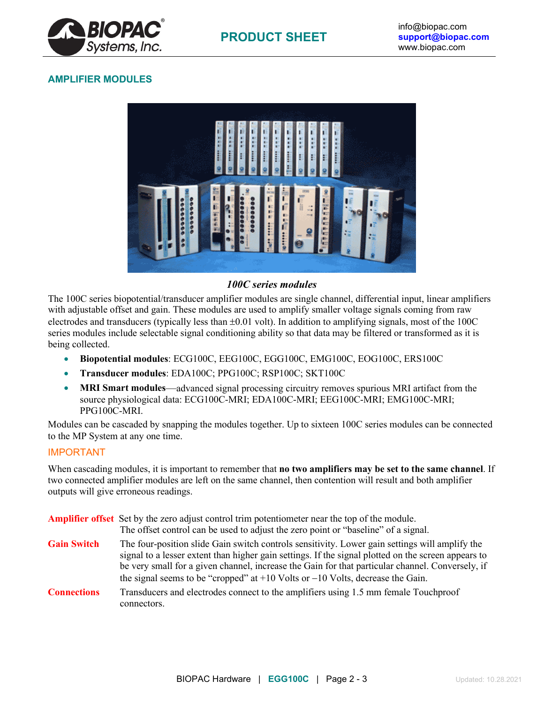

## **AMPLIFIER MODULES**



## *100C series modules*

The 100C series biopotential/transducer amplifier modules are single channel, differential input, linear amplifiers with adjustable offset and gain. These modules are used to amplify smaller voltage signals coming from raw electrodes and transducers (typically less than ±0.01 volt). In addition to amplifying signals, most of the 100C series modules include selectable signal conditioning ability so that data may be filtered or transformed as it is being collected.

- **Biopotential modules**: ECG100C, EEG100C, EGG100C, EMG100C, EOG100C, ERS100C
- **Transducer modules**: EDA100C; PPG100C; RSP100C; SKT100C
- **MRI Smart modules**—advanced signal processing circuitry removes spurious MRI artifact from the source physiological data: ECG100C-MRI; EDA100C-MRI; EEG100C-MRI; EMG100C-MRI; PPG100C-MRI.

Modules can be cascaded by snapping the modules together. Up to sixteen 100C series modules can be connected to the MP System at any one time.

## IMPORTANT

When cascading modules, it is important to remember that **no two amplifiers may be set to the same channel**. If two connected amplifier modules are left on the same channel, then contention will result and both amplifier outputs will give erroneous readings.

|                    | <b>Amplifier offset</b> Set by the zero adjust control trim potentiometer near the top of the module.<br>The offset control can be used to adjust the zero point or "baseline" of a signal.                                                                                                               |
|--------------------|-----------------------------------------------------------------------------------------------------------------------------------------------------------------------------------------------------------------------------------------------------------------------------------------------------------|
| <b>Gain Switch</b> | The four-position slide Gain switch controls sensitivity. Lower gain settings will amplify the<br>signal to a lesser extent than higher gain settings. If the signal plotted on the screen appears to<br>be very small for a given channel, increase the Gain for that particular channel. Conversely, if |
|                    | the signal seems to be "cropped" at $+10$ Volts or $-10$ Volts, decrease the Gain.                                                                                                                                                                                                                        |
| <b>Connections</b> | Transducers and electrodes connect to the amplifiers using 1.5 mm female Touchproof<br>connectors.                                                                                                                                                                                                        |